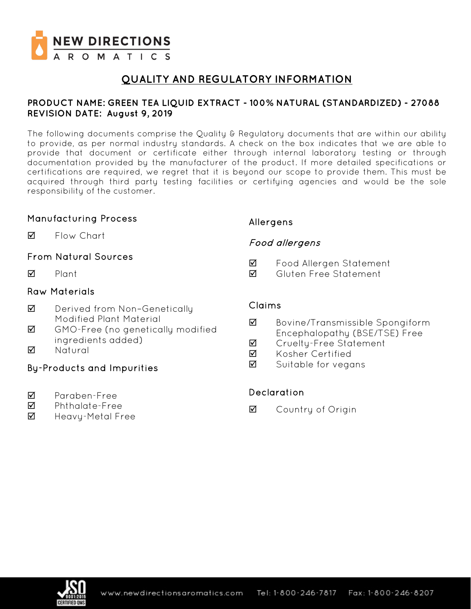

# **QUALITY AND REGULATORY INFORMATION**

### **PRODUCT NAME: GREEN TEA LIQUID EXTRACT - 100% NATURAL (STANDARDIZED) - 27088 REVISION DATE: August 9, 2019**

The following documents comprise the Quality & Regulatory documents that are within our ability to provide, as per normal industry standards. A check on the box indicates that we are able to provide that document or certificate either through internal laboratory testing or through documentation provided by the manufacturer of the product. If more detailed specifications or certifications are required, we regret that it is beyond our scope to provide them. This must be acquired through third party testing facilities or certifying agencies and would be the sole responsibility of the customer.

### Manufacturing Process

**M** Flow Chart

### From Natural Sources

 $\nabla$  Plant

### Raw Materials

- **Ø** Derived from Non-Genetically Modified Plant Material
- GMO-Free (no genetically modified ingredients added)
- **M** Natural

## By-Products and Impurities

- Paraben-Free
- Phthalate-Free
- $\boxtimes$  Heavy-Metal Free

### Allergens

### Food allergens

- Food Allergen Statement
- Gluten Free Statement

### Claims

- Bovine/Transmissible Spongiform Encephalopathy (BSE/TSE) Free
- **Ø** Crueltu-Free Statement
- **M** Kosher Certified
- $\overline{2}$  Suitable for vegans

### Declaration

**☑** Country of Origin

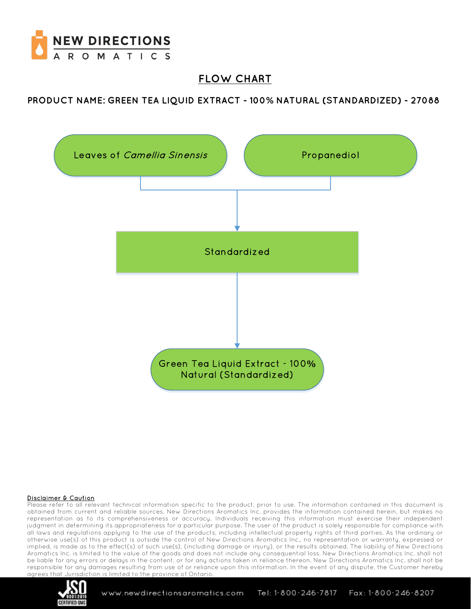

# **FLOW CHART**

**PRODUCT NAME: GREEN TEA LIQUID EXTRACT - 100% NATURAL (STANDARDIZED) - 27088**



#### Disclaimer & Caution

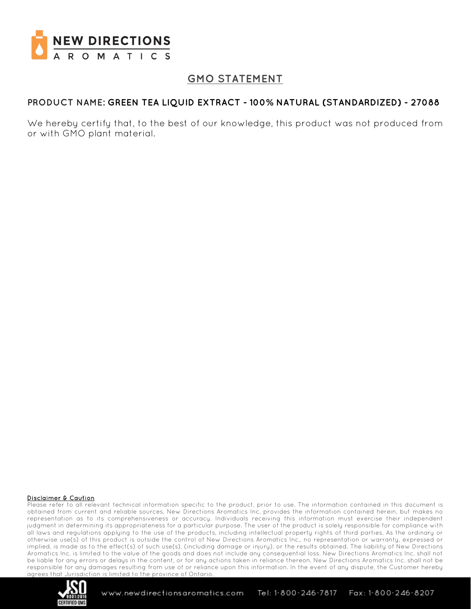

# **GMO STATEMENT**

### **PRODUCT NAME: GREEN TEA LIQUID EXTRACT - 100% NATURAL (STANDARDIZED) - 27088**

We hereby certify that, to the best of our knowledge, this product was not produced from or with GMO plant material.

#### Disclaimer & Caution

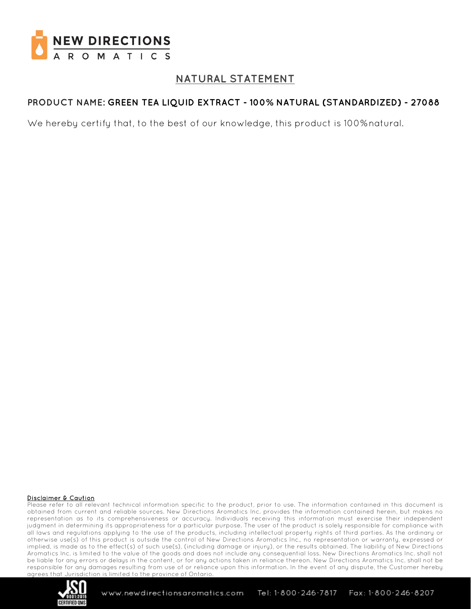

# **NATURAL STATEMENT**

## **PRODUCT NAME: GREEN TEA LIQUID EXTRACT - 100% NATURAL (STANDARDIZED) - 27088**

We hereby certify that, to the best of our knowledge, this product is 100%natural.

#### Disclaimer & Caution

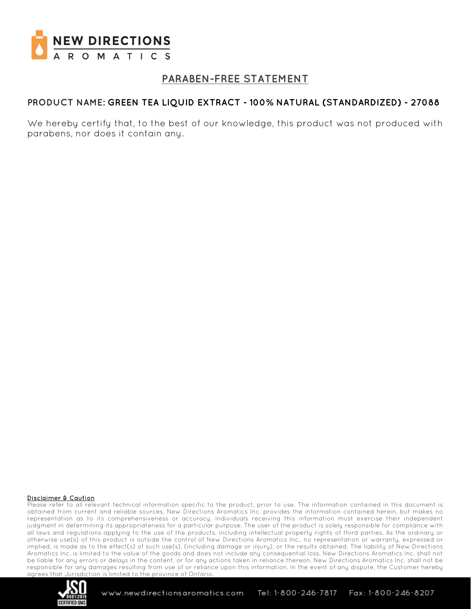

## **PARABEN-FREE STATEMENT**

### **PRODUCT NAME: GREEN TEA LIQUID EXTRACT - 100% NATURAL (STANDARDIZED) - 27088**

We hereby certify that, to the best of our knowledge, this product was not produced with parabens, nor does it contain any.

#### Disclaimer & Caution

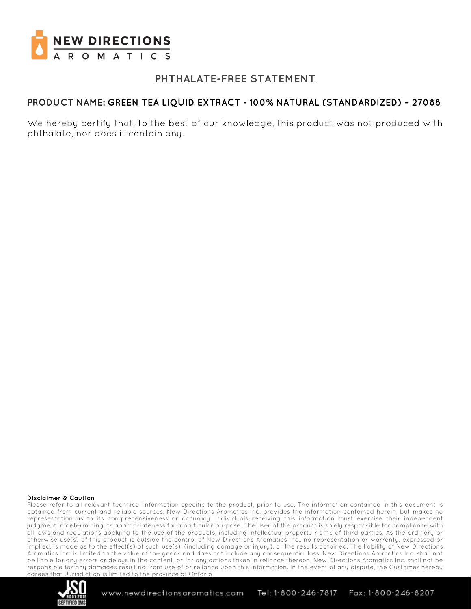

## **PHTHALATE-FREE STATEMENT**

### **PRODUCT NAME: GREEN TEA LIQUID EXTRACT - 100% NATURAL (STANDARDIZED) – 27088**

We hereby certify that, to the best of our knowledge, this product was not produced with phthalate, nor does it contain any.

#### Disclaimer & Caution

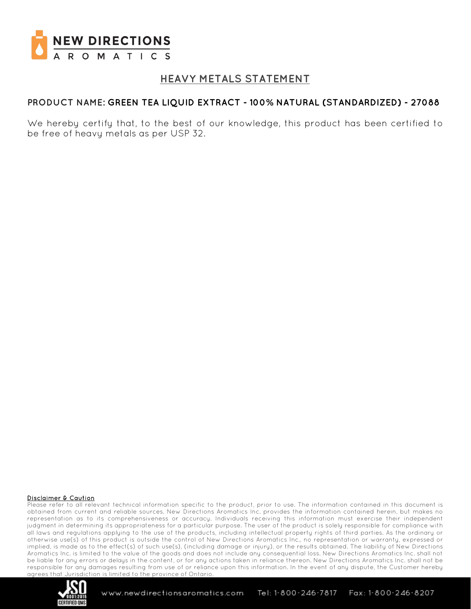

## **HEAVY METALS STATEMENT**

### **PRODUCT NAME: GREEN TEA LIQUID EXTRACT - 100% NATURAL (STANDARDIZED) - 27088**

We hereby certify that, to the best of our knowledge, this product has been certified to be free of heavy metals as per USP 32.

#### Disclaimer & Caution

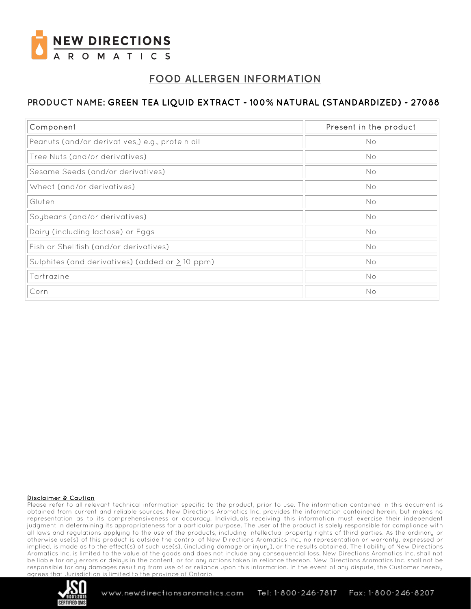

# **FOOD ALLERGEN INFORMATION**

## **PRODUCT NAME: GREEN TEA LIQUID EXTRACT - 100% NATURAL (STANDARDIZED) - 27088**

| Component                                            | Present in the product |
|------------------------------------------------------|------------------------|
| Peanuts (and/or derivatives,) e.g., protein oil      | No                     |
| Tree Nuts (and/or derivatives)                       | No                     |
| Sesame Seeds (and/or derivatives)                    | No                     |
| Wheat (and/or derivatives)                           | No                     |
| Gluten                                               | No                     |
| Soybeans (and/or derivatives)                        | No                     |
| Dairy (including lactose) or Eggs                    | No                     |
| Fish or Shellfish (and/or derivatives)               | No                     |
| Sulphites (and derivatives) (added or $\geq$ 10 ppm) | No                     |
| Tartrazine                                           | No                     |
| Corn                                                 | No                     |

#### Disclaimer & Caution

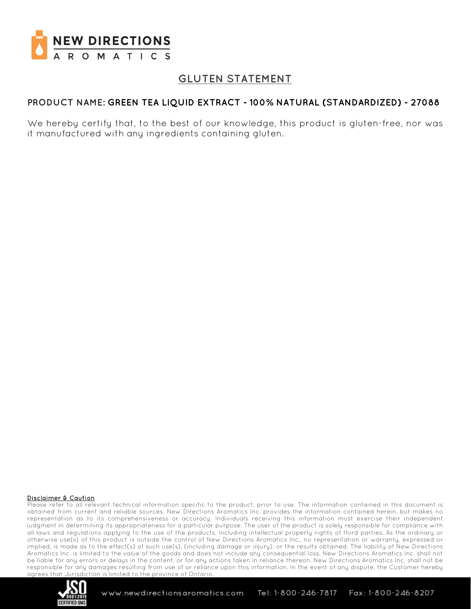

# **GLUTEN STATEMENT**

### **PRODUCT NAME: GREEN TEA LIQUID EXTRACT - 100% NATURAL (STANDARDIZED) - 27088**

We hereby certify that, to the best of our knowledge, this product is gluten-free, nor was it manufactured with any ingredients containing gluten.

#### Disclaimer & Caution

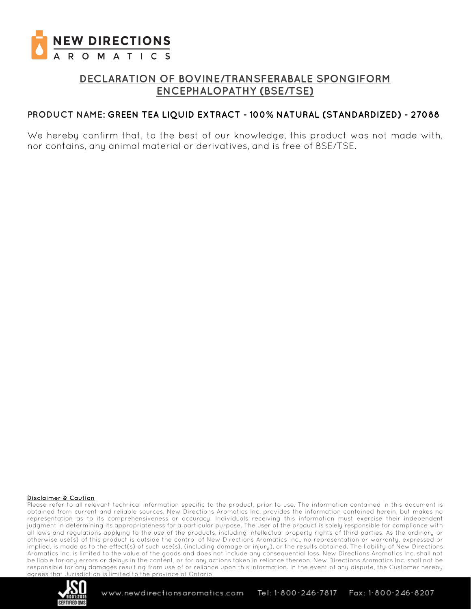

## **DECLARATION OF BOVINE/TRANSFERABALE SPONGIFORM ENCEPHALOPATHY (BSE/TSE)**

### **PRODUCT NAME: GREEN TEA LIQUID EXTRACT - 100% NATURAL (STANDARDIZED) - 27088**

We hereby confirm that, to the best of our knowledge, this product was not made with, nor contains, any animal material or derivatives, and is free of BSE/TSE.

#### Disclaimer & Caution

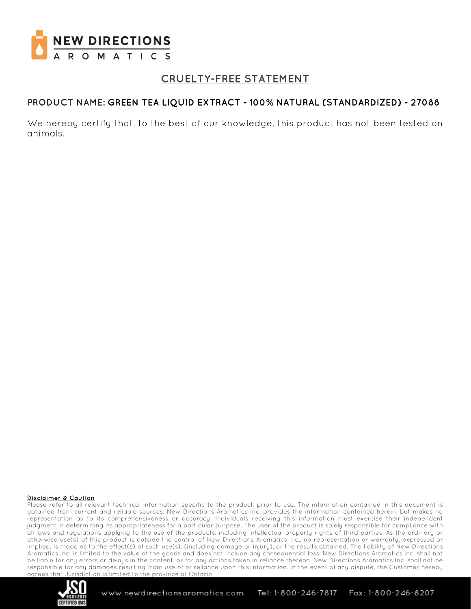

## **CRUELTY-FREE STATEMENT**

### **PRODUCT NAME: GREEN TEA LIQUID EXTRACT - 100% NATURAL (STANDARDIZED) - 27088**

We hereby certify that, to the best of our knowledge, this product has not been tested on animals.

#### Disclaimer & Caution

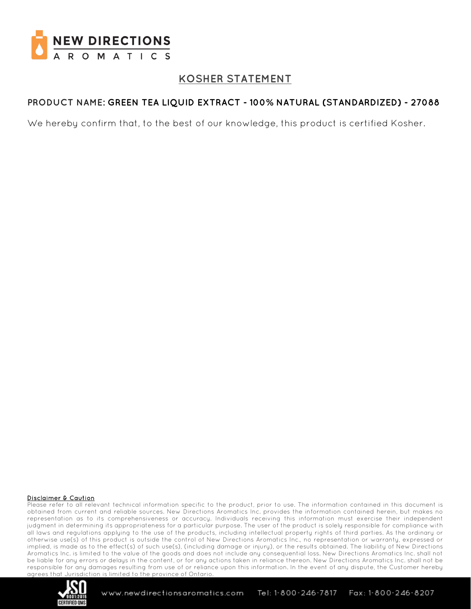

## **KOSHER STATEMENT**

## **PRODUCT NAME: GREEN TEA LIQUID EXTRACT - 100% NATURAL (STANDARDIZED) - 27088**

We hereby confirm that, to the best of our knowledge, this product is certified Kosher.

#### Disclaimer & Caution

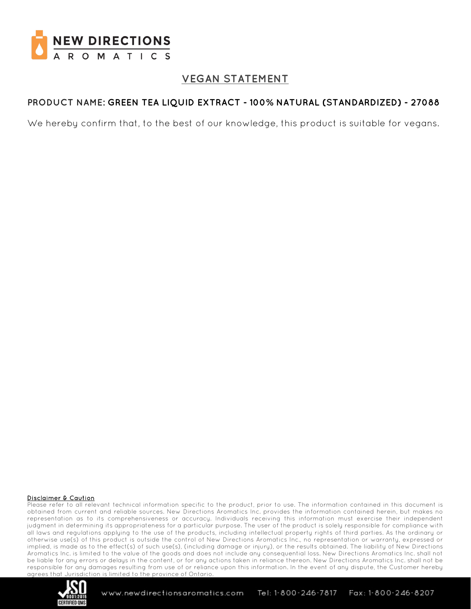

## **VEGAN STATEMENT**

## **PRODUCT NAME: GREEN TEA LIQUID EXTRACT - 100% NATURAL (STANDARDIZED) - 27088**

We hereby confirm that, to the best of our knowledge, this product is suitable for vegans.

#### Disclaimer & Caution